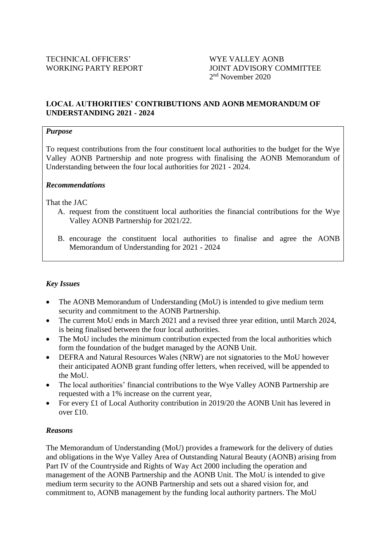# WORKING PARTY REPORT JOINT ADVISORY COMMITTEE 2<sup>nd</sup> November 2020

# **LOCAL AUTHORITIES' CONTRIBUTIONS AND AONB MEMORANDUM OF UNDERSTANDING 2021 - 2024**

#### *Purpose*

To request contributions from the four constituent local authorities to the budget for the Wye Valley AONB Partnership and note progress with finalising the AONB Memorandum of Understanding between the four local authorities for 2021 - 2024.

### *Recommendations*

That the JAC

- A. request from the constituent local authorities the financial contributions for the Wye Valley AONB Partnership for 2021/22.
- B. encourage the constituent local authorities to finalise and agree the AONB Memorandum of Understanding for 2021 - 2024

# *Key Issues*

- The AONB Memorandum of Understanding (MoU) is intended to give medium term security and commitment to the AONB Partnership.
- The current MoU ends in March 2021 and a revised three year edition, until March 2024, is being finalised between the four local authorities.
- The MoU includes the minimum contribution expected from the local authorities which form the foundation of the budget managed by the AONB Unit.
- DEFRA and Natural Resources Wales (NRW) are not signatories to the MoU however their anticipated AONB grant funding offer letters, when received, will be appended to the MoU.
- The local authorities' financial contributions to the Wye Valley AONB Partnership are requested with a 1% increase on the current year,
- For every £1 of Local Authority contribution in 2019/20 the AONB Unit has levered in over £10.

# *Reasons*

The Memorandum of Understanding (MoU) provides a framework for the delivery of duties and obligations in the Wye Valley Area of Outstanding Natural Beauty (AONB) arising from Part IV of the Countryside and Rights of Way Act 2000 including the operation and management of the AONB Partnership and the AONB Unit. The MoU is intended to give medium term security to the AONB Partnership and sets out a shared vision for, and commitment to, AONB management by the funding local authority partners. The MoU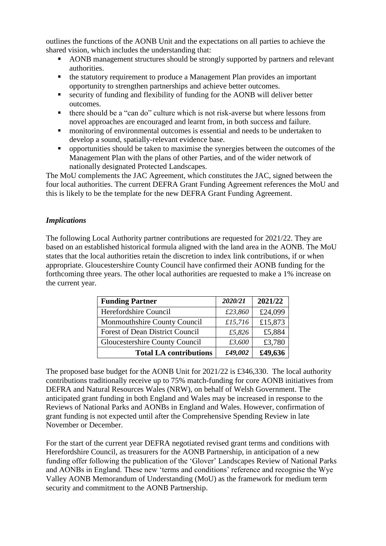outlines the functions of the AONB Unit and the expectations on all parties to achieve the shared vision, which includes the understanding that:

- AONB management structures should be strongly supported by partners and relevant authorities.
- the statutory requirement to produce a Management Plan provides an important opportunity to strengthen partnerships and achieve better outcomes.
- security of funding and flexibility of funding for the AONB will deliver better outcomes.
- there should be a "can do" culture which is not risk-averse but where lessons from novel approaches are encouraged and learnt from, in both success and failure.
- **n** monitoring of environmental outcomes is essential and needs to be undertaken to develop a sound, spatially-relevant evidence base.
- opportunities should be taken to maximise the synergies between the outcomes of the Management Plan with the plans of other Parties, and of the wider network of nationally designated Protected Landscapes.

The MoU complements the JAC Agreement, which constitutes the JAC, signed between the four local authorities. The current DEFRA Grant Funding Agreement references the MoU and this is likely to be the template for the new DEFRA Grant Funding Agreement.

# *Implications*

The following Local Authority partner contributions are requested for 2021/22. They are based on an established historical formula aligned with the land area in the AONB. The MoU states that the local authorities retain the discretion to index link contributions, if or when appropriate. Gloucestershire County Council have confirmed their AONB funding for the forthcoming three years. The other local authorities are requested to make a 1% increase on the current year.

| <b>Funding Partner</b>                 | 2020/21 | 2021/22 |
|----------------------------------------|---------|---------|
| Herefordshire Council                  | £23,860 | £24,099 |
| Monmouthshire County Council           | £15,716 | £15,873 |
| <b>Forest of Dean District Council</b> | £5,826  | £5,884  |
| Gloucestershire County Council         | £3,600  | £3,780  |
| <b>Total LA contributions</b>          | £49,002 | £49,636 |

The proposed base budget for the AONB Unit for 2021/22 is £346,330. The local authority contributions traditionally receive up to 75% match-funding for core AONB initiatives from DEFRA and Natural Resources Wales (NRW), on behalf of Welsh Government. The anticipated grant funding in both England and Wales may be increased in response to the Reviews of National Parks and AONBs in England and Wales. However, confirmation of grant funding is not expected until after the Comprehensive Spending Review in late November or December.

For the start of the current year DEFRA negotiated revised grant terms and conditions with Herefordshire Council, as treasurers for the AONB Partnership, in anticipation of a new funding offer following the publication of the 'Glover' Landscapes Review of National Parks and AONBs in England. These new 'terms and conditions' reference and recognise the Wye Valley AONB Memorandum of Understanding (MoU) as the framework for medium term security and commitment to the AONB Partnership.